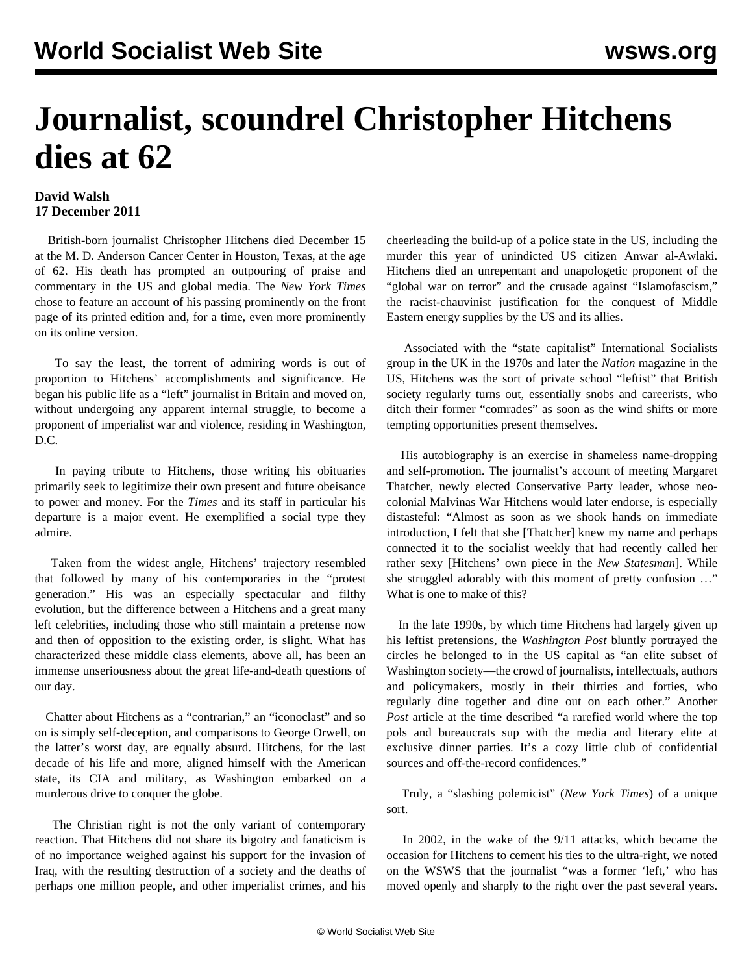## **Journalist, scoundrel Christopher Hitchens dies at 62**

## **David Walsh 17 December 2011**

 British-born journalist Christopher Hitchens died December 15 at the M. D. Anderson Cancer Center in Houston, Texas, at the age of 62. His death has prompted an outpouring of praise and commentary in the US and global media. The *New York Times* chose to feature an account of his passing prominently on the front page of its printed edition and, for a time, even more prominently on its online version.

 To say the least, the torrent of admiring words is out of proportion to Hitchens' accomplishments and significance. He began his public life as a "left" journalist in Britain and moved on, without undergoing any apparent internal struggle, to become a proponent of imperialist war and violence, residing in Washington, D.C.

 In paying tribute to Hitchens, those writing his obituaries primarily seek to legitimize their own present and future obeisance to power and money. For the *Times* and its staff in particular his departure is a major event. He exemplified a social type they admire.

 Taken from the widest angle, Hitchens' trajectory resembled that followed by many of his contemporaries in the "protest generation." His was an especially spectacular and filthy evolution, but the difference between a Hitchens and a great many left celebrities, including those who still maintain a pretense now and then of opposition to the existing order, is slight. What has characterized these middle class elements, above all, has been an immense unseriousness about the great life-and-death questions of our day.

 Chatter about Hitchens as a "contrarian," an "iconoclast" and so on is simply self-deception, and comparisons to George Orwell, on the latter's worst day, are equally absurd. Hitchens, for the last decade of his life and more, aligned himself with the American state, its CIA and military, as Washington embarked on a murderous drive to conquer the globe.

 The Christian right is not the only variant of contemporary reaction. That Hitchens did not share its bigotry and fanaticism is of no importance weighed against his support for the invasion of Iraq, with the resulting destruction of a society and the deaths of perhaps one million people, and other imperialist crimes, and his cheerleading the build-up of a police state in the US, including the murder this year of unindicted US citizen Anwar al-Awlaki. Hitchens died an unrepentant and unapologetic proponent of the "global war on terror" and the crusade against "Islamofascism," the racist-chauvinist justification for the conquest of Middle Eastern energy supplies by the US and its allies.

 Associated with the "state capitalist" International Socialists group in the UK in the 1970s and later the *Nation* magazine in the US, Hitchens was the sort of private school "leftist" that British society regularly turns out, essentially snobs and careerists, who ditch their former "comrades" as soon as the wind shifts or more tempting opportunities present themselves.

 His autobiography is an exercise in shameless name-dropping and self-promotion. The journalist's account of meeting Margaret Thatcher, newly elected Conservative Party leader, whose neocolonial Malvinas War Hitchens would later endorse, is especially distasteful: "Almost as soon as we shook hands on immediate introduction, I felt that she [Thatcher] knew my name and perhaps connected it to the socialist weekly that had recently called her rather sexy [Hitchens' own piece in the *New Statesman*]. While she struggled adorably with this moment of pretty confusion …" What is one to make of this?

 In the late 1990s, by which time Hitchens had largely given up his leftist pretensions, the *Washington Post* bluntly portrayed the circles he belonged to in the US capital as "an elite subset of Washington society—the crowd of journalists, intellectuals, authors and policymakers, mostly in their thirties and forties, who regularly dine together and dine out on each other." Another *Post* article at the time described "a rarefied world where the top pols and bureaucrats sup with the media and literary elite at exclusive dinner parties. It's a cozy little club of confidential sources and off-the-record confidences."

 Truly, a "slashing polemicist" (*New York Times*) of a unique sort.

 In 2002, in the wake of the 9/11 attacks, which became the occasion for Hitchens to cement his ties to the ultra-right, we noted on the WSWS that the journalist "was a former 'left,' who has moved openly and sharply to the right over the past several years.